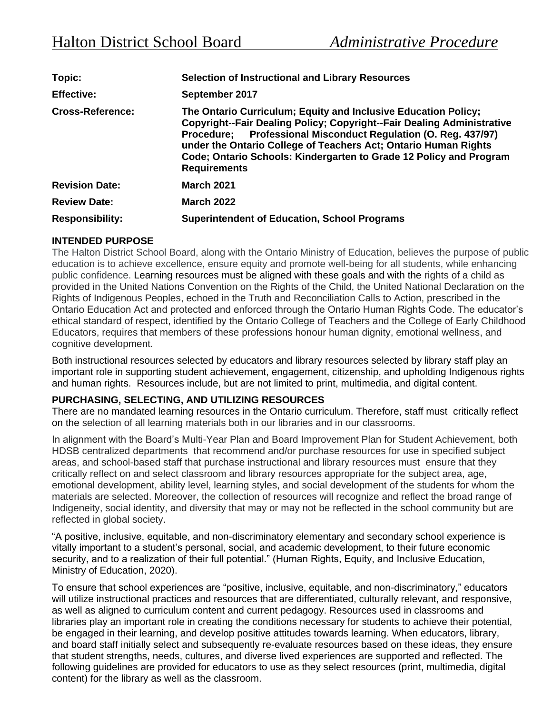| Topic:                  | <b>Selection of Instructional and Library Resources</b>                                                                                                                                                                                                                                                                                                                    |
|-------------------------|----------------------------------------------------------------------------------------------------------------------------------------------------------------------------------------------------------------------------------------------------------------------------------------------------------------------------------------------------------------------------|
| <b>Effective:</b>       | September 2017                                                                                                                                                                                                                                                                                                                                                             |
| <b>Cross-Reference:</b> | The Ontario Curriculum; Equity and Inclusive Education Policy;<br>Copyright--Fair Dealing Policy; Copyright--Fair Dealing Administrative<br>Procedure; Professional Misconduct Regulation (O. Reg. 437/97)<br>under the Ontario College of Teachers Act; Ontario Human Rights<br>Code; Ontario Schools: Kindergarten to Grade 12 Policy and Program<br><b>Requirements</b> |
| <b>Revision Date:</b>   | <b>March 2021</b>                                                                                                                                                                                                                                                                                                                                                          |
| <b>Review Date:</b>     | <b>March 2022</b>                                                                                                                                                                                                                                                                                                                                                          |
| <b>Responsibility:</b>  | <b>Superintendent of Education, School Programs</b>                                                                                                                                                                                                                                                                                                                        |

## **INTENDED PURPOSE**

The Halton District School Board, along with the Ontario Ministry of Education, believes the purpose of public education is to achieve excellence, ensure equity and promote well-being for all students, while enhancing public confidence. Learning resources must be aligned with these goals and with the rights of a child as provided in the United Nations Convention on the Rights of the Child, the United National Declaration on the Rights of Indigenous Peoples, echoed in the Truth and Reconciliation Calls to Action, prescribed in the Ontario Education Act and protected and enforced through the Ontario Human Rights Code. The educator's ethical standard of respect, identified by the Ontario College of Teachers and the College of Early Childhood Educators, requires that members of these professions honour human dignity, emotional wellness, and cognitive development.

Both instructional resources selected by educators and library resources selected by library staff play an important role in supporting student achievement, engagement, citizenship, and upholding Indigenous rights and human rights. Resources include, but are not limited to print, multimedia, and digital content.

#### **PURCHASING, SELECTING, AND UTILIZING RESOURCES**

There are no mandated learning resources in the Ontario curriculum. Therefore, staff must critically reflect on the selection of all learning materials both in our libraries and in our classrooms.

In alignment with the Board's Multi-Year Plan and Board Improvement Plan for Student Achievement, both HDSB centralized departments that recommend and/or purchase resources for use in specified subject areas, and school-based staff that purchase instructional and library resources must ensure that they critically reflect on and select classroom and library resources appropriate for the subject area, age, emotional development, ability level, learning styles, and social development of the students for whom the materials are selected. Moreover, the collection of resources will recognize and reflect the broad range of Indigeneity, social identity, and diversity that may or may not be reflected in the school community but are reflected in global society.

"A positive, inclusive, equitable, and non-discriminatory elementary and secondary school experience is vitally important to a student's personal, social, and academic development, to their future economic security, and to a realization of their full potential." (Human Rights, Equity, and Inclusive Education, Ministry of Education, 2020).

To ensure that school experiences are "positive, inclusive, equitable, and non-discriminatory," educators will utilize instructional practices and resources that are differentiated, culturally relevant, and responsive, as well as aligned to curriculum content and current pedagogy. Resources used in classrooms and libraries play an important role in creating the conditions necessary for students to achieve their potential, be engaged in their learning, and develop positive attitudes towards learning. When educators, library, and board staff initially select and subsequently re-evaluate resources based on these ideas, they ensure that student strengths, needs, cultures, and diverse lived experiences are supported and reflected. The following guidelines are provided for educators to use as they select resources (print, multimedia, digital content) for the library as well as the classroom.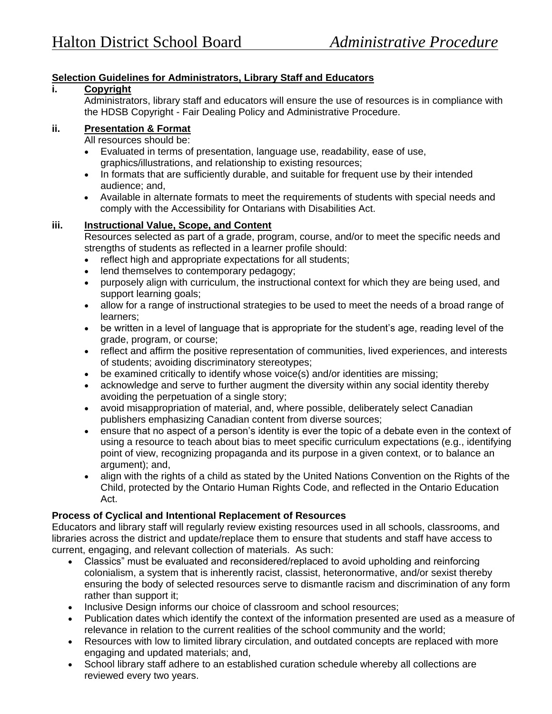# **Selection Guidelines for Administrators, Library Staff and Educators**

## **i. Copyright**

Administrators, library staff and educators will ensure the use of resources is in compliance with the HDSB Copyright - Fair Dealing Policy and Administrative Procedure.

#### **ii. Presentation & Format**

All resources should be:

- Evaluated in terms of presentation, language use, readability, ease of use, graphics/illustrations, and relationship to existing resources;
- In formats that are sufficiently durable, and suitable for frequent use by their intended audience; and,
- Available in alternate formats to meet the requirements of students with special needs and comply with the Accessibility for Ontarians with Disabilities Act.

## **iii. Instructional Value, Scope, and Content**

Resources selected as part of a grade, program, course, and/or to meet the specific needs and strengths of students as reflected in a learner profile should:

- reflect high and appropriate expectations for all students;
- lend themselves to contemporary pedagogy;
- purposely align with curriculum, the instructional context for which they are being used, and support learning goals;
- allow for a range of instructional strategies to be used to meet the needs of a broad range of learners;
- be written in a level of language that is appropriate for the student's age, reading level of the grade, program, or course;
- reflect and affirm the positive representation of communities, lived experiences, and interests of students; avoiding discriminatory stereotypes;
- be examined critically to identify whose voice(s) and/or identities are missing;
- acknowledge and serve to further augment the diversity within any social identity thereby avoiding the perpetuation of a single story;
- avoid misappropriation of material, and, where possible, deliberately select Canadian publishers emphasizing Canadian content from diverse sources;
- ensure that no aspect of a person's identity is ever the topic of a debate even in the context of using a resource to teach about bias to meet specific curriculum expectations (e.g., identifying point of view, recognizing propaganda and its purpose in a given context, or to balance an argument); and,
- align with the rights of a child as stated by the United Nations Convention on the Rights of the Child, protected by the Ontario Human Rights Code, and reflected in the Ontario Education Act.

## **Process of Cyclical and Intentional Replacement of Resources**

Educators and library staff will regularly review existing resources used in all schools, classrooms, and libraries across the district and update/replace them to ensure that students and staff have access to current, engaging, and relevant collection of materials. As such:

- Classics" must be evaluated and reconsidered/replaced to avoid upholding and reinforcing colonialism, a system that is inherently racist, classist, heteronormative, and/or sexist thereby ensuring the body of selected resources serve to dismantle racism and discrimination of any form rather than support it;
- Inclusive Design informs our choice of classroom and school resources;
- Publication dates which identify the context of the information presented are used as a measure of relevance in relation to the current realities of the school community and the world;
- Resources with low to limited library circulation, and outdated concepts are replaced with more engaging and updated materials; and,
- School library staff adhere to an established curation schedule whereby all collections are reviewed every two years.